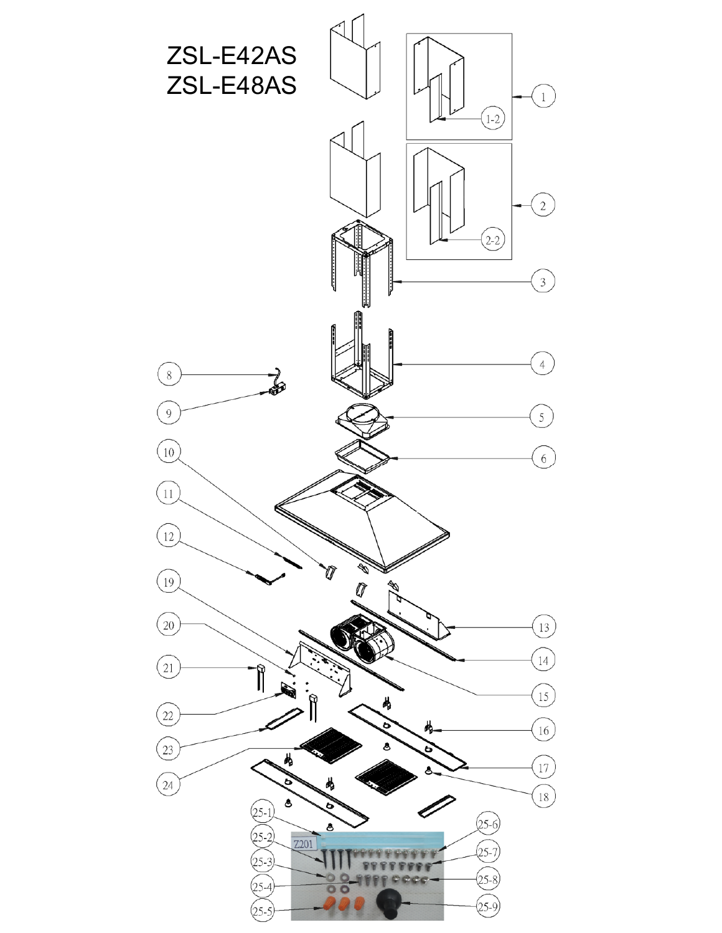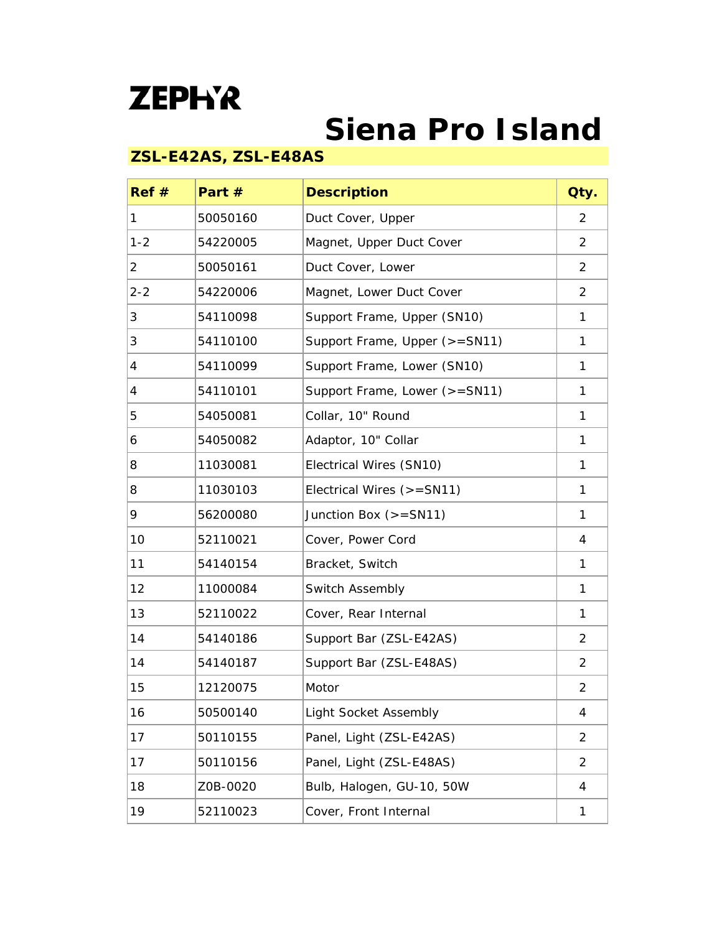## **ZEPH'R**

## **Siena Pro Island**

## **ZSL-E42AS, ZSL-E48AS**

| Ref#    | Part $#$ | <b>Description</b>            | Qty.           |
|---------|----------|-------------------------------|----------------|
| 1       | 50050160 | Duct Cover, Upper             | $\overline{2}$ |
| $1 - 2$ | 54220005 | Magnet, Upper Duct Cover      | $\overline{2}$ |
| 2       | 50050161 | Duct Cover, Lower             | 2              |
| $2 - 2$ | 54220006 | Magnet, Lower Duct Cover      | $\overline{2}$ |
| 3       | 54110098 | Support Frame, Upper (SN10)   | 1              |
| 3       | 54110100 | Support Frame, Upper (>=SN11) | 1              |
| 4       | 54110099 | Support Frame, Lower (SN10)   | 1              |
| 4       | 54110101 | Support Frame, Lower (>=SN11) | 1              |
| 5       | 54050081 | Collar, 10" Round             | 1              |
| 6       | 54050082 | Adaptor, 10" Collar           | 1              |
| 8       | 11030081 | Electrical Wires (SN10)       | 1              |
| 8       | 11030103 | Electrical Wires (>=SN11)     | $\mathbf{1}$   |
| 9       | 56200080 | Junction Box $(>=SN11)$       | $\mathbf{1}$   |
| 10      | 52110021 | Cover, Power Cord             | 4              |
| 11      | 54140154 | Bracket, Switch               | 1              |
| 12      | 11000084 | Switch Assembly               | 1              |
| 13      | 52110022 | Cover, Rear Internal          | $\mathbf{1}$   |
| 14      | 54140186 | Support Bar (ZSL-E42AS)       | $\overline{2}$ |
| 14      | 54140187 | Support Bar (ZSL-E48AS)       | 2              |
| 15      | 12120075 | Motor                         | $\overline{2}$ |
| 16      | 50500140 | Light Socket Assembly         | 4              |
| 17      | 50110155 | Panel, Light (ZSL-E42AS)      | $\overline{2}$ |
| 17      | 50110156 | Panel, Light (ZSL-E48AS)      | $\overline{2}$ |
| 18      | Z0B-0020 | Bulb, Halogen, GU-10, 50W     | 4              |
| 19      | 52110023 | Cover, Front Internal         | $\mathbf{1}$   |